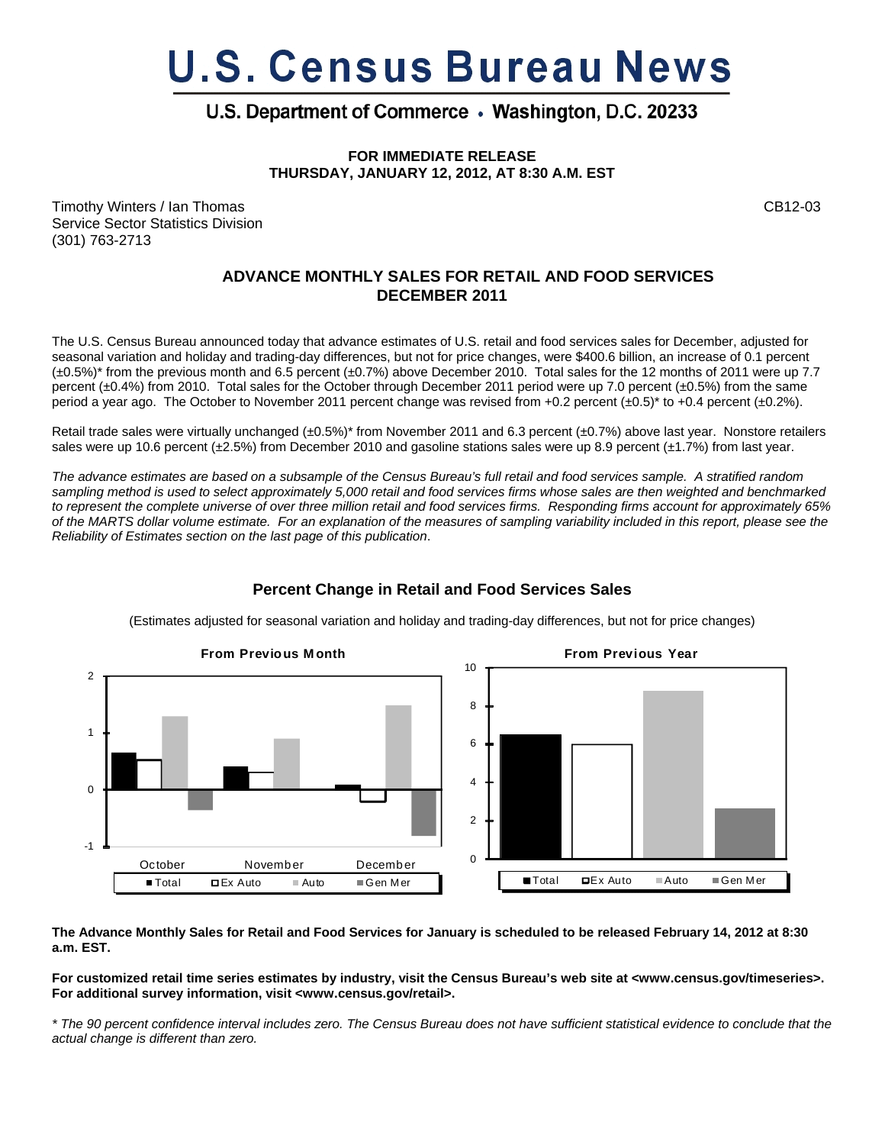# **U.S. Census Bureau News**

# U.S. Department of Commerce . Washington, D.C. 20233

**FOR IMMEDIATE RELEASE THURSDAY, JANUARY 12, 2012, AT 8:30 A.M. EST**

Timothy Winters / Ian Thomas CB12-03 Service Sector Statistics Division (301) 763-2713

## **ADVANCE MONTHLY SALES FOR RETAIL AND FOOD SERVICES DECEMBER 2011**

The U.S. Census Bureau announced today that advance estimates of U.S. retail and food services sales for December, adjusted for seasonal variation and holiday and trading-day differences, but not for price changes, were \$400.6 billion, an increase of 0.1 percent (±0.5%)\* from the previous month and 6.5 percent (±0.7%) above December 2010. Total sales for the 12 months of 2011 were up 7.7 percent (±0.4%) from 2010. Total sales for the October through December 2011 period were up 7.0 percent (±0.5%) from the same period a year ago. The October to November 2011 percent change was revised from +0.2 percent  $(\pm 0.5)^*$  to +0.4 percent  $(\pm 0.2\%)$ .

Retail trade sales were virtually unchanged (±0.5%)\* from November 2011 and 6.3 percent (±0.7%) above last year. Nonstore retailers sales were up 10.6 percent (±2.5%) from December 2010 and gasoline stations sales were up 8.9 percent (±1.7%) from last year.

*The advance estimates are based on a subsample of the Census Bureau's full retail and food services sample. A stratified random sampling method is used to select approximately 5,000 retail and food services firms whose sales are then weighted and benchmarked to represent the complete universe of over three million retail and food services firms. Responding firms account for approximately 65% of the MARTS dollar volume estimate. For an explanation of the measures of sampling variability included in this report, please see the Reliability of Estimates section on the last page of this publication*.



## **Percent Change in Retail and Food Services Sales**

(Estimates adjusted for seasonal variation and holiday and trading-day differences, but not for price changes)

**The Advance Monthly Sales for Retail and Food Services for January is scheduled to be released February 14, 2012 at 8:30 a.m. EST.** 

**For customized retail time series estimates by industry, visit the Census Bureau's web site at <www.census.gov/timeseries>. For additional survey information, visit <www.census.gov/retail>.**

*\* The 90 percent confidence interval includes zero. The Census Bureau does not have sufficient statistical evidence to conclude that the actual change is different than zero.*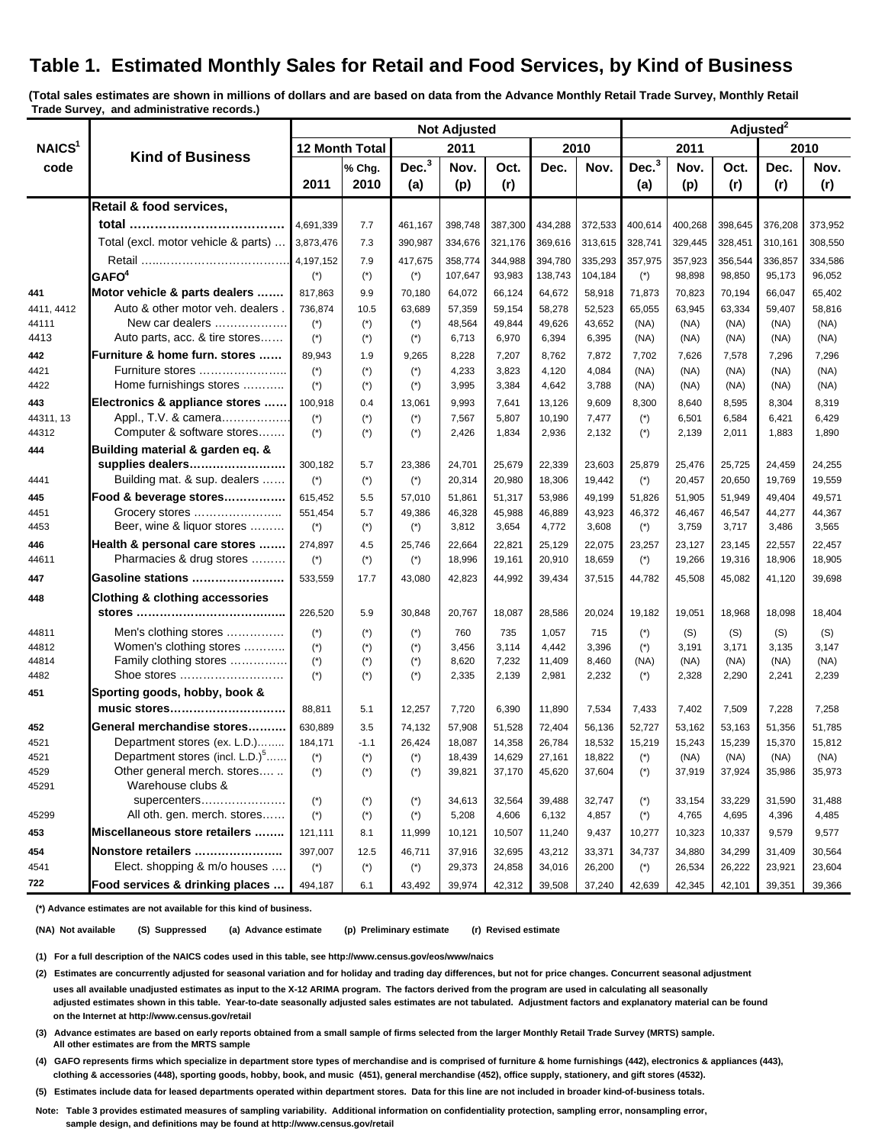# **Table 1. Estimated Monthly Sales for Retail and Food Services, by Kind of Business**

**(Total sales estimates are shown in millions of dollars and are based on data from the Advance Monthly Retail Trade Survey, Monthly Retail Trade Survey, and administrative records.)**

|                            | <b>Kind of Business</b>                       | <b>Not Adjusted</b>   |                       |                   |                  |                  |                  |                  | Adjusted <sup>2</sup> |                  |                  |                  |                  |
|----------------------------|-----------------------------------------------|-----------------------|-----------------------|-------------------|------------------|------------------|------------------|------------------|-----------------------|------------------|------------------|------------------|------------------|
| NAICS <sup>1</sup><br>code |                                               | <b>12 Month Total</b> |                       | 2011              |                  |                  | 2010             |                  | 2011                  |                  | 2010             |                  |                  |
|                            |                                               |                       | % Chg.                | Dec. <sup>3</sup> | Nov.             | Oct.             | Dec.             | Nov.             | Dec. <sup>3</sup>     | Nov.             | Oct.             | Dec.             | Nov.             |
|                            |                                               | 2011                  | 2010                  | (a)               | (p)              | (r)              |                  |                  | (a)                   | (p)              | (r)              | (r)              | (r)              |
|                            | Retail & food services,                       |                       |                       |                   |                  |                  |                  |                  |                       |                  |                  |                  |                  |
|                            |                                               | 4,691,339             | 7.7                   | 461,167           | 398,748          | 387,300          | 434,288          | 372,533          | 400,614               | 400,268          | 398,645          | 376,208          | 373,952          |
|                            | Total (excl. motor vehicle & parts)           | 3,873,476             | 7.3                   | 390,987           | 334,676          | 321,176          | 369,616          | 313,615          | 328,741               | 329,445          | 328,451          | 310,161          | 308,550          |
|                            |                                               | 4,197,152             | 7.9                   | 417,675           | 358,774          | 344,988          | 394,780          | 335,293          | 357,975               | 357,923          | 356,544          | 336,857          | 334,586          |
|                            | GAFO <sup>4</sup>                             | $(*)$                 | $(*)$                 | $(\dot{z})$       | 107,647          | 93,983           | 138,743          | 104,184          | $(*)$                 | 98,898           | 98,850           | 95,173           | 96,052           |
| 441                        | Motor vehicle & parts dealers                 | 817,863               | 9.9                   | 70,180            | 64,072           | 66,124           | 64,672           | 58,918           | 71,873                | 70,823           | 70,194           | 66,047           | 65,402           |
| 4411, 4412                 | Auto & other motor veh. dealers.              | 736,874               | 10.5                  | 63,689            | 57,359           | 59,154           | 58,278           | 52,523           | 65,055                | 63,945           | 63,334           | 59,407           | 58,816           |
| 44111                      | New car dealers                               | $(*)$                 | $(*)$                 | $(*)$             | 48,564           | 49,844           | 49,626           | 43,652           | (NA)                  | (NA)             | (NA)             | (NA)             | (NA)             |
| 4413                       | Auto parts, acc. & tire stores                | $(*)$                 | $(*)$                 | $(*)$             | 6,713            | 6,970            | 6,394            | 6,395            | (NA)                  | (NA)             | (NA)             | (NA)             | (NA)             |
| 442                        | Furniture & home furn. stores                 | 89,943                | 1.9                   | 9,265             | 8,228            | 7,207            | 8,762            | 7,872            | 7,702                 | 7,626            | 7,578            | 7,296            | 7,296            |
| 4421                       | Furniture stores                              | $(\dot{z})$           | $(*)$                 | $(*)$             | 4,233            | 3,823            | 4,120            | 4,084            | (NA)                  | (NA)             | (NA)             | (NA)             | (NA)             |
| 4422                       | Home furnishings stores                       | $(\dot{\phantom{a}})$ | $(*)$                 | $(*)$             | 3,995            | 3,384            | 4,642            | 3,788            | (NA)                  | (NA)             | (NA)             | (NA)             | (NA)             |
| 443                        | Electronics & appliance stores                | 100,918               | 0.4                   | 13,061            | 9,993            | 7,641            | 13,126           | 9,609            | 8,300                 | 8,640            | 8,595            | 8,304            | 8,319            |
| 44311, 13                  | Appl., T.V. & camera                          | $(*)$                 | $(*)$                 | $(*)$             | 7,567            | 5,807            | 10,190           | 7,477            | $(*)$                 | 6,501            | 6,584            | 6,421            | 6,429            |
| 44312                      | Computer & software stores                    | $(*)$                 | $(*)$                 | $(\dot{z})$       | 2,426            | 1,834            | 2,936            | 2,132            | $(*)$                 | 2,139            | 2,011            | 1,883            | 1,890            |
| 444                        | Building material & garden eq. &              |                       |                       |                   |                  |                  |                  |                  |                       |                  |                  |                  |                  |
|                            | supplies dealers                              | 300,182               | 5.7                   | 23,386            | 24,701           | 25,679           | 22,339           | 23,603           | 25,879                | 25,476           | 25,725           | 24,459           | 24,255           |
| 4441                       | Building mat. & sup. dealers                  | $(*)$                 | $(*)$                 | $(*)$             | 20,314           | 20,980           | 18,306           | 19,442           | $(*)$                 | 20,457           | 20,650           | 19,769           | 19,559           |
| 445                        | Food & beverage stores                        | 615,452               | 5.5                   | 57,010            | 51,861           | 51,317           | 53,986           | 49,199           | 51,826                | 51,905           | 51,949           | 49,404           | 49,571           |
| 4451                       | Grocery stores                                | 551,454               | 5.7                   | 49,386            | 46,328           | 45,988           | 46,889           | 43,923           | 46,372                | 46,467           | 46,547           | 44,277           | 44,367           |
| 4453                       | Beer, wine & liquor stores                    | $(\dot{z})$           | $(*)$                 | $(\dot{z})$       | 3,812            | 3,654            | 4,772            | 3,608            | $(*)$                 | 3,759            | 3,717            | 3,486            | 3,565            |
| 446                        | Health & personal care stores                 | 274,897               | 4.5                   | 25,746            | 22,664           | 22,821           | 25,129           | 22,075           | 23,257                | 23,127           | 23,145           | 22,557           | 22,457           |
| 44611                      | Pharmacies & drug stores                      | $(*)$                 | $(*)$                 | $(*)$             | 18,996           | 19,161           | 20,910           | 18,659           | $(*)$                 | 19,266           | 19,316           | 18,906           | 18,905           |
| 447                        | Gasoline stations                             | 533,559               | 17.7                  | 43,080            | 42,823           | 44,992           | 39,434           | 37,515           | 44,782                | 45,508           | 45,082           | 41,120           | 39,698           |
| 448                        | <b>Clothing &amp; clothing accessories</b>    |                       |                       |                   |                  |                  |                  |                  |                       |                  |                  |                  |                  |
|                            |                                               | 226,520               | 5.9                   | 30,848            | 20,767           | 18,087           | 28,586           | 20,024           | 19,182                | 19,051           | 18,968           | 18,098           | 18,404           |
| 44811                      | Men's clothing stores                         | $(*)$                 | $(*)$                 | $(*)$             | 760              | 735              | 1,057            | 715              | $(*)$                 | (S)              | (S)              | (S)              | (S)              |
| 44812                      | Women's clothing stores                       | $(*)$                 | $(*)$                 | $(*)$             | 3,456            | 3,114            | 4,442            | 3,396            | $(*)$                 | 3,191            | 3,171            | 3,135            | 3,147            |
| 44814<br>4482              | Family clothing stores<br>Shoe stores         | $(\dot{z})$           | $(*)$                 | $(*)$<br>$(*)$    | 8,620<br>2,335   | 7,232<br>2,139   | 11,409<br>2,981  | 8,460<br>2,232   | (NA)                  | (NA)<br>2,328    | (NA)<br>2,290    | (NA)<br>2,241    | (NA)<br>2,239    |
|                            |                                               | $(\dot{z})$           | $(*)$                 |                   |                  |                  |                  |                  | $(*)$                 |                  |                  |                  |                  |
| 451                        | Sporting goods, hobby, book &<br>music stores | 88,811                | 5.1                   | 12,257            | 7,720            | 6,390            | 11,890           | 7,534            | 7,433                 | 7,402            | 7,509            | 7,228            | 7,258            |
| 452                        | General merchandise stores                    | 630,889               |                       | 74,132            |                  |                  |                  |                  |                       |                  |                  |                  |                  |
| 4521                       | Department stores (ex. L.D.)                  | 184,171               | 3.5<br>$-1.1$         | 26,424            | 57,908<br>18,087 | 51,528<br>14,358 | 72,404<br>26,784 | 56,136<br>18,532 | 52,727<br>15,219      | 53,162<br>15,243 | 53,163<br>15,239 | 51,356<br>15,370 | 51,785<br>15,812 |
| 4521                       | Department stores (incl. L.D.) <sup>5</sup>   | $(*)$                 | $(*)$                 | $(*)$             | 18,439           | 14,629           | 27,161           | 18,822           | $(*)$                 | (NA)             | (NA)             | (NA)             | (NA)             |
| 4529                       | Other general merch. stores                   | $(\dot{\phantom{a}})$ | $(\dot{\phantom{a}})$ | $(\dot{z})$       | 39,821           | 37,170           | 45,620           | 37,604           | $(*)$                 | 37,919           | 37,924           | 35,986           | 35,973           |
| 45291                      | Warehouse clubs &                             |                       |                       |                   |                  |                  |                  |                  |                       |                  |                  |                  |                  |
|                            | supercenters                                  | $(\hbox{}^\star)$     | $(*)$                 | $(\dot{z})$       | 34,613           | 32,564           | 39,488           | 32,747           | $(*)$                 | 33,154           | 33,229           | 31,590           | 31,488           |
| 45299                      | All oth. gen. merch. stores                   | $(*)$                 | $(*)$                 | $(*)$             | 5,208            | 4,606            | 6,132            | 4,857            | $(*)$                 | 4,765            | 4,695            | 4,396            | 4,485            |
| 453                        | Miscellaneous store retailers                 | 121,111               | 8.1                   | 11,999            | 10,121           | 10,507           | 11,240           | 9,437            | 10,277                | 10,323           | 10,337           | 9,579            | 9,577            |
| 454                        | Nonstore retailers                            | 397,007               | 12.5                  | 46,711            | 37,916           | 32,695           | 43,212           | 33,371           | 34,737                | 34,880           | 34,299           | 31,409           | 30,564           |
| 4541                       | Elect. shopping & m/o houses                  | $(*)$                 | $(*)$                 | $(*)$             | 29,373           | 24,858           | 34,016           | 26,200           | $(*)$                 | 26,534           | 26,222           | 23,921           | 23,604           |
| 722                        | Food services & drinking places               | 494,187               | 6.1                   | 43,492            | 39,974           | 42,312           | 39,508           | 37,240           | 42,639                | 42,345           | 42,101           | 39,351           | 39,366           |

 **(\*) Advance estimates are not available for this kind of business.**

 **(NA) Not available (S) Suppressed (a) Advance estimate (p) Preliminary estimate (r) Revised estimate**

 **(1) For a full description of the NAICS codes used in this table, see http://www.census.gov/eos/www/naics**

 **(2) Estimates are concurrently adjusted for seasonal variation and for holiday and trading day differences, but not for price changes. Concurrent seasonal adjustment uses all available unadjusted estimates as input to the X-12 ARIMA program. The factors derived from the program are used in calculating all seasonally**

 **adjusted estimates shown in this table. Year-to-date seasonally adjusted sales estimates are not tabulated. Adjustment factors and explanatory material can be found on the Internet at http://www.census.gov/retail**

 **(3) Advance estimates are based on early reports obtained from a small sample of firms selected from the larger Monthly Retail Trade Survey (MRTS) sample. All other estimates are from the MRTS sample**

 **(4) GAFO represents firms which specialize in department store types of merchandise and is comprised of furniture & home furnishings (442), electronics & appliances (443), clothing & accessories (448), sporting goods, hobby, book, and music (451), general merchandise (452), office supply, stationery, and gift stores (4532).**

 **(5) Estimates include data for leased departments operated within department stores. Data for this line are not included in broader kind-of-business totals.**

 **Note: Table 3 provides estimated measures of sampling variability. Additional information on confidentiality protection, sampling error, nonsampling error, sample design, and definitions may be found at http://www.census.gov/retail**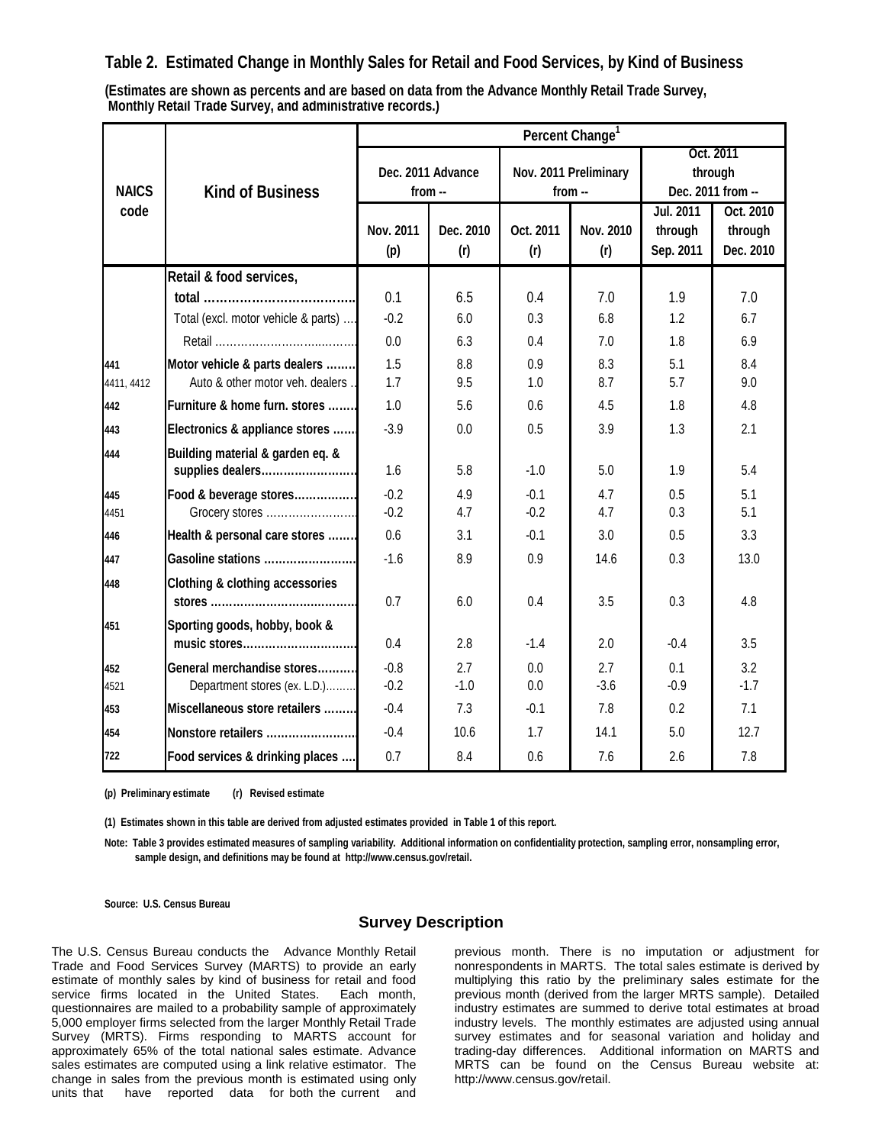## **Table 2. Estimated Change in Monthly Sales for Retail and Food Services, by Kind of Business**

**Monthly Retail Trade Survey, and administrative records.) (Estimates are shown as percents and are based on data from the Advance Monthly Retail Trade Survey,**

|              |                                                            | Percent Change <sup>1</sup> |                   |                  |                       |                                           |                                   |  |  |  |
|--------------|------------------------------------------------------------|-----------------------------|-------------------|------------------|-----------------------|-------------------------------------------|-----------------------------------|--|--|--|
| <b>NAICS</b> | <b>Kind of Business</b>                                    | from $-$                    | Dec. 2011 Advance | $from -$         | Nov. 2011 Preliminary | Oct. 2011<br>through<br>Dec. 2011 from -- |                                   |  |  |  |
| code         |                                                            | Nov. 2011<br>(p)            | Dec. 2010<br>(r)  | Oct. 2011<br>(r) | Nov. 2010<br>(r)      | <b>Jul. 2011</b><br>through<br>Sep. 2011  | Oct. 2010<br>through<br>Dec. 2010 |  |  |  |
|              | Retail & food services,                                    |                             |                   |                  |                       |                                           |                                   |  |  |  |
|              |                                                            | 0.1                         | 6.5               | 0.4              | 7.0                   | 1.9                                       | 7.0                               |  |  |  |
|              | Total (excl. motor vehicle & parts)                        | $-0.2$                      | 6.0               | 0.3              | 6.8                   | 1.2                                       | 6.7                               |  |  |  |
|              |                                                            | 0.0                         | 6.3               | 0.4              | 7.0                   | 1.8                                       | 6.9                               |  |  |  |
| 441          | Motor vehicle & parts dealers                              | 1.5                         | 8.8               | 0.9              | 8.3                   | 5.1                                       | 8.4                               |  |  |  |
| 4411, 4412   | Auto & other motor veh. dealers                            | 1.7                         | 9.5               | 1.0              | 8.7                   | 5.7                                       | 9.0                               |  |  |  |
| 442          | Furniture & home furn. stores                              | 1.0                         | 5.6               | 0.6              | 4.5                   | 1.8                                       | 4.8                               |  |  |  |
| 443          | Electronics & appliance stores                             | $-3.9$                      | 0.0               | 0.5              | 3.9                   | 1.3                                       | 2.1                               |  |  |  |
| 444          | Building material & garden eq. &<br>supplies dealers       | 1.6                         | 5.8               | $-1.0$           | 5.0                   | 1.9                                       | 5.4                               |  |  |  |
| 445          | Food & beverage stores                                     | $-0.2$                      | 4.9               | $-0.1$           | 4.7                   | 0.5                                       | 5.1                               |  |  |  |
| 4451         | Grocery stores                                             | $-0.2$                      | 4.7               | $-0.2$           | 4.7                   | 0.3                                       | 5.1                               |  |  |  |
| 446          | Health & personal care stores                              | 0.6                         | 3.1               | $-0.1$           | 3.0                   | 0.5                                       | 3.3                               |  |  |  |
| 447          | Gasoline stations                                          | $-1.6$                      | 8.9               | 0.9              | 14.6                  | 0.3                                       | 13.0                              |  |  |  |
| 448          | <b>Clothing &amp; clothing accessories</b>                 | 0.7                         | 6.0               | 0.4              | 3.5                   | 0.3                                       | 4.8                               |  |  |  |
| 451          | Sporting goods, hobby, book &<br>music stores              | 0.4                         | 2.8               | $-1.4$           | 2.0                   | $-0.4$                                    | 3.5                               |  |  |  |
| 452<br>4521  | General merchandise stores<br>Department stores (ex. L.D.) | $-0.8$<br>$-0.2$            | 2.7<br>$-1.0$     | 0.0<br>0.0       | 2.7<br>$-3.6$         | 0.1<br>$-0.9$                             | 3.2<br>$-1.7$                     |  |  |  |
| 453          | Miscellaneous store retailers                              | $-0.4$                      | 7.3               | $-0.1$           | 7.8                   | 0.2                                       | 7.1                               |  |  |  |
| 454          | Nonstore retailers                                         | $-0.4$                      | 10.6              | 1.7              | 14.1                  | 5.0                                       | 12.7                              |  |  |  |
| 722          | Food services & drinking places                            | 0.7                         | 8.4               | 0.6              | 7.6                   | 2.6                                       | 7.8                               |  |  |  |

**(p) Preliminary estimate (r) Revised estimate**

**(1) Estimates shown in this table are derived from adjusted estimates provided in Table 1 of this report.**

**Note: Table 3 provides estimated measures of sampling variability. Additional information on confidentiality protection, sampling error, nonsampling error, sample design, and definitions may be found at http://www.census.gov/retail.**

**Source: U.S. Census Bureau**

#### **Survey Description**

The U.S. Census Bureau conducts the Advance Monthly Retail Trade and Food Services Survey (MARTS) to provide an early estimate of monthly sales by kind of business for retail and food service firms located in the United States. Each month, questionnaires are mailed to a probability sample of approximately 5,000 employer firms selected from the larger Monthly Retail Trade Survey (MRTS). Firms responding to MARTS account for approximately 65% of the total national sales estimate. Advance sales estimates are computed using a link relative estimator. The change in sales from the previous month is estimated using only units that have reported data for both the current and

previous month. There is no imputation or adjustment for nonrespondents in MARTS. The total sales estimate is derived by multiplying this ratio by the preliminary sales estimate for the previous month (derived from the larger MRTS sample). Detailed industry estimates are summed to derive total estimates at broad industry levels. The monthly estimates are adjusted using annual survey estimates and for seasonal variation and holiday and trading-day differences. Additional information on MARTS and MRTS can be found on the Census Bureau website at: http://www.census.gov/retail.